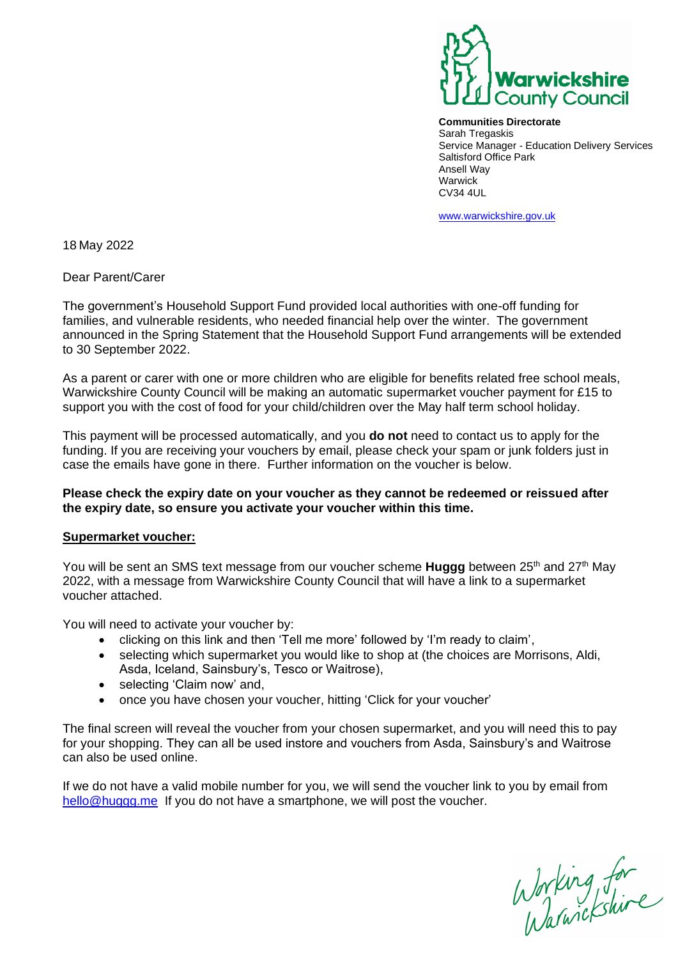

**Communities Directorate**  Sarah Tregaskis Service Manager - Education Delivery Services Saltisford Office Park Ansell Way Warwick CV34 4UL

[www.warwickshire.gov.uk](http://www.warwickshire.gov.uk/) 

18 May 2022

Dear Parent/Carer

The government's Household Support Fund provided local authorities with one-off funding for families, and vulnerable residents, who needed financial help over the winter. The government announced in the Spring Statement that the Household Support Fund arrangements will be extended to 30 September 2022.

As a parent or carer with one or more children who are eligible for benefits related free school meals, Warwickshire County Council will be making an automatic supermarket voucher payment for £15 to support you with the cost of food for your child/children over the May half term school holiday.

This payment will be processed automatically, and you **do not** need to contact us to apply for the funding. If you are receiving your vouchers by email, please check your spam or junk folders just in case the emails have gone in there. Further information on the voucher is below.

## **Please check the expiry date on your voucher as they cannot be redeemed or reissued after the expiry date, so ensure you activate your voucher within this time.**

## **Supermarket voucher:**

You will be sent an SMS text message from our voucher scheme **Huggg** between 25<sup>th</sup> and 27<sup>th</sup> May 2022, with a message from Warwickshire County Council that will have a link to a supermarket voucher attached.

You will need to activate your voucher by:

- clicking on this link and then 'Tell me more' followed by 'I'm ready to claim',
- selecting which supermarket you would like to shop at (the choices are Morrisons, Aldi, Asda, Iceland, Sainsbury's, Tesco or Waitrose),
- selecting 'Claim now' and,
- once you have chosen your voucher, hitting 'Click for your voucher'

The final screen will reveal the voucher from your chosen supermarket, and you will need this to pay for your shopping. They can all be used instore and vouchers from Asda, Sainsbury's and Waitrose can also be used online.

If we do not have a valid mobile number for you, we will send the voucher link to you by email from [hello@huggg.me](mailto:hello@huggg.me) If you do not have a smartphone, we will post the voucher.

Working for